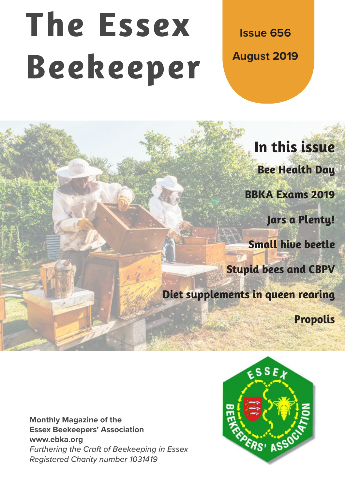# **The Essex Beekeeper**

**Issue 656 August 2019**

**In this issue Bee Health Day BBKA Exams 2019 Jars a Plenty! Small hive beetle Stupid bees and CBPV Diet supplements in queen rearing Propolis**

**Monthly Magazine of the Essex Beekeepers' Association www.ebka.org** *Furthering the Craft of Beekeeping in Essex Registered Charity number 1031419*

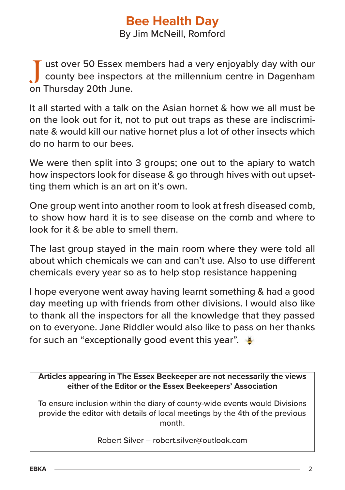# **Bee Health Day**

By Jim McNeill, Romford

ust over 50 Essex members had a very enjoyably day with our county bee inspectors at the millennium centre in Dagenham on Thursday 20th June.

It all started with a talk on the Asian hornet & how we all must be on the look out for it, not to put out traps as these are indiscriminate & would kill our native hornet plus a lot of other insects which do no harm to our bees.

We were then split into 3 groups; one out to the apiary to watch how inspectors look for disease & go through hives with out upsetting them which is an art on it's own.

One group went into another room to look at fresh diseased comb, to show how hard it is to see disease on the comb and where to look for it & be able to smell them.

The last group stayed in the main room where they were told all about which chemicals we can and can't use. Also to use different chemicals every year so as to help stop resistance happening

I hope everyone went away having learnt something & had a good day meeting up with friends from other divisions. I would also like to thank all the inspectors for all the knowledge that they passed on to everyone. Jane Riddler would also like to pass on her thanks for such an "exceptionally good event this year".  $\frac{3}{2}$ 

**Articles appearing in The Essex Beekeeper are not necessarily the views either of the Editor or the Essex Beekeepers' Association**

To ensure inclusion within the diary of county-wide events would Divisions provide the editor with details of local meetings by the 4th of the previous month.

Robert Silver – robert.silver@outlook.com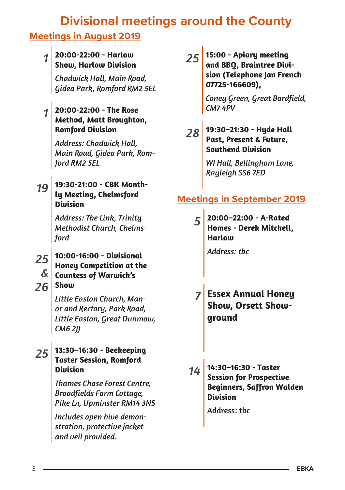# **Divisional meetings around the County**

# **Meetings in August 2019**

#### *1* **20:00-22:00 - Harlow Show, Harlow Division**

*Chadwick Hall, Main Road, Gidea Park, Romford RM2 5EL*

#### *1* **20:00-22:00 - The Rose Method, Matt Broughton, Romford Division**

*Address: Chadwick Hall, Main Road, Gidea Park, Romford RM2 5EL*

#### *19* **19:30-21:00 - CBK Monthly Meeting, Chelmsford Division**

*Address: The Link, Trinity Methodist Church, Chelmsford*

#### *25 &* **Countess of Warwick's**  *26* **10:00-16:00 - Divisional Honey Competition at the Show**

*Little Easton Church, Manor and Rectory, Park Road, Little Easton, Great Dunmow, CM6 2JJ*

#### *25* **13:30–16:30 - Beekeeping Taster Session, Romford Division**

*Thames Chase Forest Centre, Broadfields Farm Cottage, Pike Ln, Upminster RM14 3NS*

*Includes open hive demonstration, protective jacket and veil provided.*

*25* **15:00 - Apiary meeting and BBQ, Braintree Division (Telephone Jan French 07725-166609),** 

> *Coney Green, Great Bardfield, CM7 4PV*

*28* **19:30–21:30 - Hyde Hall Past, Present & Future, Southend Division**

> *WI Hall, Bellingham Lane, Rayleigh SS6 7ED*

# **Meetings in September 2019**

*5* **20:00–22:00 - A-Rated Homes - Derek Mitchell, Harlow**

*Address: tbc*

# *7* **Essex Annual Honey Show, Orsett Showground**

*14* **14:30–16:30 - Taster Session for Prospective Beginners, Saffron Walden Division**

Address: tbc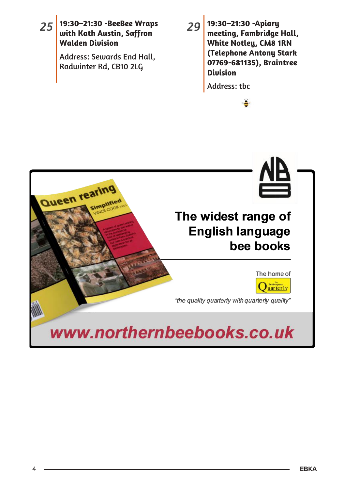*25* **19:30–21:30 -BeeBee Wraps with Kath Austin, Saffron Walden Division**

> Address: Sewards End Hall, Radwinter Rd, CB10 2LG

*29* **19:30–21:30 -Apiary meeting, Fambridge Hall, White Notley, CM8 1RN (Telephone Antony Stark 07769-681135), Braintree Division**

Ă

Address: tbc

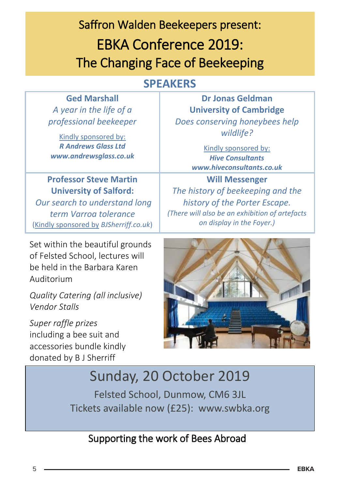# Saffron Walden Beekeepers present: EBKA Conference 2019: The Changing Face of Beekeeping

# **SPEAKERS**

**Ged Marshall**  *A year in the life of a professional beekeeper*

Kindly sponsored by: *R Andrews Glass Ltd www.andrewsglass.co.uk*

**Professor Steve Martin University of Salford:**

*Our search to understand long term Varroa tolerance* (Kindly sponsored by *BJSherriff.co.uk*)

Set within the beautiful grounds of Felsted School, lectures will be held in the Barbara Karen Auditorium

*Quality Catering (all inclusive) Vendor Stalls*

*Super raffle prizes* including a bee suit and accessories bundle kindly donated by B J Sherriff

**Dr Jonas Geldman University of Cambridge**  *Does conserving honeybees help wildlife?*

> Kindly sponsored by: *Hive Consultants www.hiveconsultants.co.uk*

**Will Messenger**  *The history of beekeeping and the history of the Porter Escape. (There will also be an exhibition of artefacts on display in the Foyer.)*



# Sunday, 20 October 2019

Felsted School, Dunmow, CM6 3JL Tickets available now (£25): www.swbka.org

# Supporting the work of Bees Abroad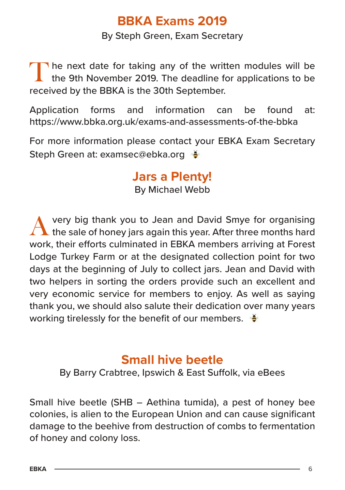# **BBKA Exams 2019**

By Steph Green, Exam Secretary

The next date for taking any of the written modules will be the 9th November 2019. The deadline for applications to be received by the BBKA is the 30th September.

Application forms and information can be found at: https://www.bbka.org.uk/exams-and-assessments-of-the-bbka

For more information please contact your EBKA Exam Secretary Steph Green at: examsec@ebka.org &

# **Jars a Plenty!**

By Michael Webb

very big thank you to Jean and David Smye for organising  $\blacksquare$  the sale of honey jars again this year. After three months hard work, their efforts culminated in EBKA members arriving at Forest Lodge Turkey Farm or at the designated collection point for two days at the beginning of July to collect jars. Jean and David with two helpers in sorting the orders provide such an excellent and very economic service for members to enjoy. As well as saying thank you, we should also salute their dedication over many years working tirelessly for the benefit of our members.  $\phi$ 

# **Small hive beetle**

By Barry Crabtree, Ipswich & East Suffolk, via eBees

Small hive beetle (SHB – Aethina tumida), a pest of honey bee colonies, is alien to the European Union and can cause significant damage to the beehive from destruction of combs to fermentation of honey and colony loss.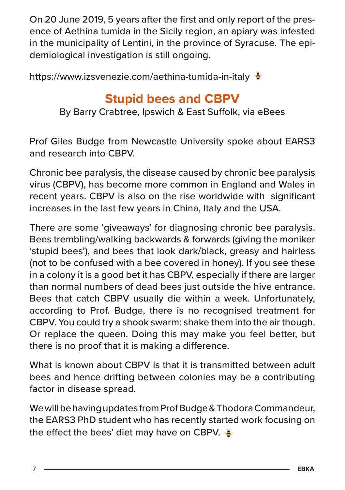On 20 June 2019, 5 years after the first and only report of the presence of Aethina tumida in the Sicily region, an apiary was infested in the municipality of Lentini, in the province of Syracuse. The epidemiological investigation is still ongoing.

https://www.izsvenezie.com/aethina-tumida-in-italy

# **Stupid bees and CBPV**

By Barry Crabtree, Ipswich & East Suffolk, via eBees

Prof Giles Budge from Newcastle University spoke about EARS3 and research into CBPV.

Chronic bee paralysis, the disease caused by chronic bee paralysis virus (CBPV), has become more common in England and Wales in recent years. CBPV is also on the rise worldwide with significant increases in the last few years in China, Italy and the USA.

There are some 'giveaways' for diagnosing chronic bee paralysis. Bees trembling/walking backwards & forwards (giving the moniker 'stupid bees'), and bees that look dark/black, greasy and hairless (not to be confused with a bee covered in honey). If you see these in a colony it is a good bet it has CBPV, especially if there are larger than normal numbers of dead bees just outside the hive entrance. Bees that catch CBPV usually die within a week. Unfortunately, according to Prof. Budge, there is no recognised treatment for CBPV. You could try a shook swarm: shake them into the air though. Or replace the queen. Doing this may make you feel better, but there is no proof that it is making a difference.

What is known about CBPV is that it is transmitted between adult bees and hence drifting between colonies may be a contributing factor in disease spread.

We will be having updates from Prof Budge & Thodora Commandeur, the EARS3 PhD student who has recently started work focusing on the effect the bees' diet may have on CBPV.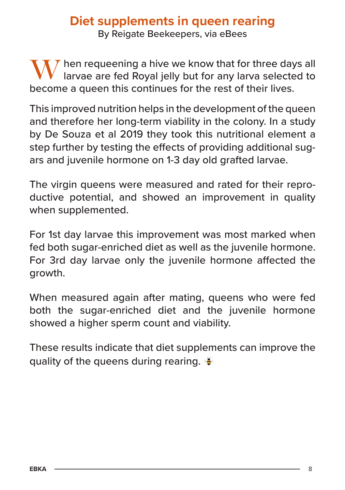# **Diet supplements in queen rearing**

By Reigate Beekeepers, via eBees

 $\mathbf W$  hen requeening a hive we know that for three days all larvae are fed Royal jelly but for any larva selected to become a queen this continues for the rest of their lives.

This improved nutrition helps in the development of the queen and therefore her long-term viability in the colony. In a study by De Souza et al 2019 they took this nutritional element a step further by testing the effects of providing additional sugars and juvenile hormone on 1-3 day old grafted larvae.

The virgin queens were measured and rated for their reproductive potential, and showed an improvement in quality when supplemented.

For 1st day larvae this improvement was most marked when fed both sugar-enriched diet as well as the juvenile hormone. For 3rd day larvae only the juvenile hormone affected the growth.

When measured again after mating, queens who were fed both the sugar-enriched diet and the juvenile hormone showed a higher sperm count and viability.

These results indicate that diet supplements can improve the quality of the queens during rearing.  $\ddot{\bullet}$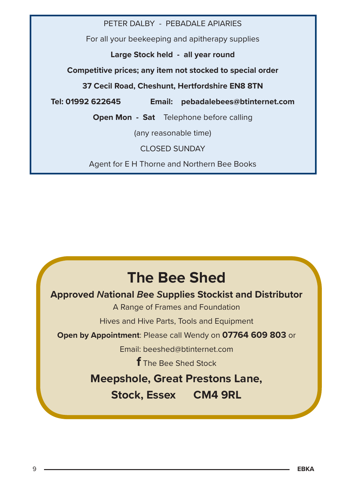PETER DALBY - PERADALE APIARIES For all your beekeeping and apitherapy supplies **Large Stock held - all year round Competitive prices; any item not stocked to special order 37 Cecil Road, Cheshunt, Hertfordshire EN8 8TN Tel: 01992 622645 Email: pebadalebees@btinternet.com Open Mon - Sat** Telephone before calling (any reasonable time) CLOSED SUNDAY Agent for E H Thorne and Northern Bee Books

# **The Bee Shed**

#### **Approved** *N***ational** *B***ee** *S***upplies Stockist and Distributor**

A Range of Frames and Foundation

Hives and Hive Parts, Tools and Equipment

#### **Open by Appointment**: Please call Wendy on **07764 609 803** or

Email: beeshed@btinternet.com

**f** The Bee Shed Stock

#### **Meepshole, Great Prestons Lane,**

**Stock, Essex CM4 9RL**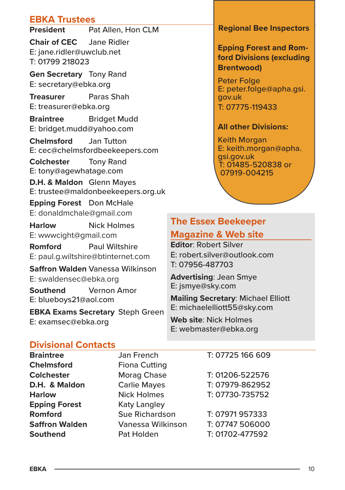#### **EBKA Trustees**

**President** Pat Allen, Hon CLM

**Chair of CEC** Jane Ridler E: jane.ridler@uwclub.net T: 01799 218023

**Gen Secretary** Tony Rand E: secretary@ebka.org

**Treasurer** Paras Shah E: treasurer@ebka.org

**Braintree** Bridget Mudd E: bridget.mudd@yahoo.com

**Chelmsford** Jan Tutton E: cec@chelmsfordbeekeepers.com

**Colchester** Tony Rand E: tony@agewhatage.com

**D.H. & Maldon** Glenn Mayes E: trustee@maldonbeekeepers.org.uk

**Epping Forest** Don McHale E: donaldmchale@gmail.com

**Harlow** Nick Holmes E: wwwcight@gmail.com

**Romford** Paul Wiltshire E: paul.g.wiltshire@btinternet.com

**Saffron Walden** Vanessa Wilkinson E: swaldensec@ebka.org

**Southend** Vernon Amor E: blueboys21@aol.com

**EBKA Exams Secretary** Steph Green E: examsec@ebka.org

#### **Regional Bee Inspectors**

**Epping Forest and Romford Divisions (excluding Brentwood)**

Peter Folge E: peter.folge@apha.gsi. gov.uk T: 07775-119433

#### **All other Divisions:**

Keith Morgan E: keith.morgan@apha. gsi.gov.uk T: 01485-520838 or 07919-004215

## **The Essex Beekeeper Magazine & Web site**

**Editor**: Robert Silver E: robert.silver@outlook.com T: 07956-487703

**Advertising**: Jean Smye E: jsmye@sky.com

**Mailing Secretary**: Michael Elliott E: michaelelliott55@sky.com

**Web site**: Nick Holmes E: webmaster@ebka.org

#### **Divisional Contacts**

| <b>Braintree</b>      | Jan French           | T: 07725 166 609 |
|-----------------------|----------------------|------------------|
| <b>Chelmsford</b>     | <b>Fiona Cutting</b> |                  |
| <b>Colchester</b>     | Morag Chase          | T: 01206-522576  |
| D.H. & Maldon         | <b>Carlie Mayes</b>  | T: 07979-862952  |
| <b>Harlow</b>         | <b>Nick Holmes</b>   | T: 07730-735752  |
| <b>Epping Forest</b>  | <b>Katy Langley</b>  |                  |
| Romford               | Sue Richardson       | T: 07971 957333  |
| <b>Saffron Walden</b> | Vanessa Wilkinson    | T: 07747 506000  |
| <b>Southend</b>       | Pat Holden           | T: 01702-477592  |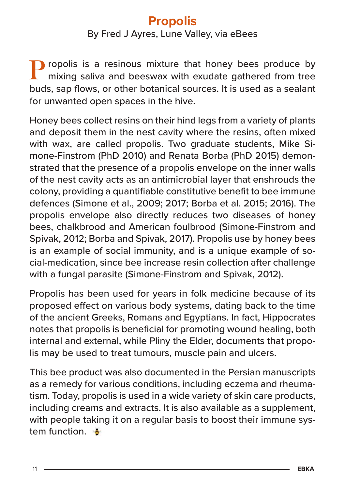# **Propolis**

#### By Fred J Ayres, Lune Valley, via eBees

ropolis is a resinous mixture that honey bees produce by mixing saliva and beeswax with exudate gathered from tree buds, sap flows, or other botanical sources. It is used as a sealant for unwanted open spaces in the hive.

Honey bees collect resins on their hind legs from a variety of plants and deposit them in the nest cavity where the resins, often mixed with wax, are called propolis. Two graduate students, Mike Simone-Finstrom (PhD 2010) and Renata Borba (PhD 2015) demonstrated that the presence of a propolis envelope on the inner walls of the nest cavity acts as an antimicrobial layer that enshrouds the colony, providing a quantifiable constitutive benefit to bee immune defences (Simone et al., 2009; 2017; Borba et al. 2015; 2016). The propolis envelope also directly reduces two diseases of honey bees, chalkbrood and American foulbrood (Simone-Finstrom and Spivak, 2012; Borba and Spivak, 2017). Propolis use by honey bees is an example of social immunity, and is a unique example of social-medication, since bee increase resin collection after challenge with a fungal parasite (Simone-Finstrom and Spivak, 2012).

Propolis has been used for years in folk medicine because of its proposed effect on various body systems, dating back to the time of the ancient Greeks, Romans and Egyptians. In fact, Hippocrates notes that propolis is beneficial for promoting wound healing, both internal and external, while Pliny the Elder, documents that propolis may be used to treat tumours, muscle pain and ulcers.

This bee product was also documented in the Persian manuscripts as a remedy for various conditions, including eczema and rheumatism. Today, propolis is used in a wide variety of skin care products, including creams and extracts. It is also available as a supplement, with people taking it on a regular basis to boost their immune system function.